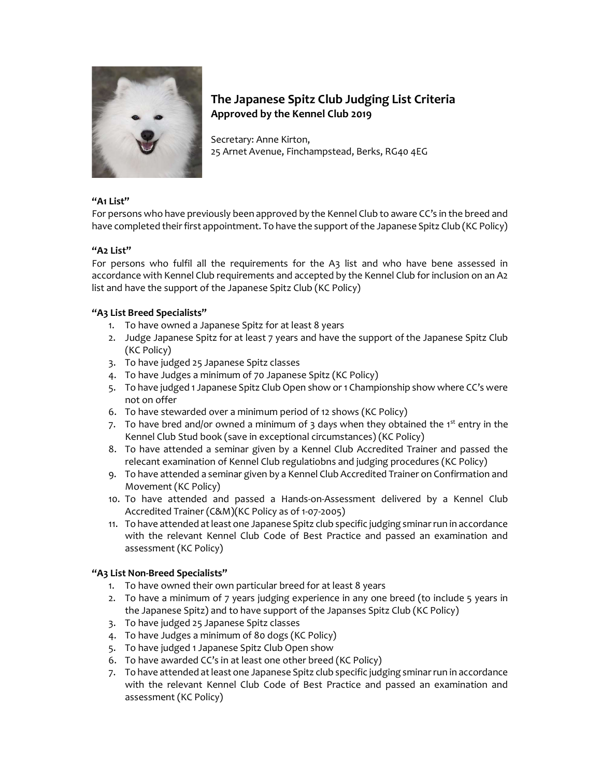

# The Japanese Spitz Club Judging List Criteria Approved by the Kennel Club 2019

Secretary: Anne Kirton, 25 Arnet Avenue, Finchampstead, Berks, RG40 4EG

### "A1 List"

For persons who have previously been approved by the Kennel Club to aware CC's in the breed and have completed their first appointment. To have the support of the Japanese Spitz Club (KC Policy)

# "A2 List"

For persons who fulfil all the requirements for the A3 list and who have bene assessed in accordance with Kennel Club requirements and accepted by the Kennel Club for inclusion on an A2 list and have the support of the Japanese Spitz Club (KC Policy)

# "A3 List Breed Specialists"

- 1. To have owned a Japanese Spitz for at least 8 years
- 2. Judge Japanese Spitz for at least 7 years and have the support of the Japanese Spitz Club (KC Policy)
- 3. To have judged 25 Japanese Spitz classes
- 4. To have Judges a minimum of 70 Japanese Spitz (KC Policy)
- 5. To have judged 1 Japanese Spitz Club Open show or 1 Championship show where CC's were not on offer
- 6. To have stewarded over a minimum period of 12 shows (KC Policy)
- 7. To have bred and/or owned a minimum of 3 days when they obtained the 1<sup>st</sup> entry in the Kennel Club Stud book (save in exceptional circumstances) (KC Policy)
- 8. To have attended a seminar given by a Kennel Club Accredited Trainer and passed the relecant examination of Kennel Club regulatiobns and judging procedures (KC Policy)
- 9. To have attended a seminar given by a Kennel Club Accredited Trainer on Confirmation and Movement (KC Policy)
- 10. To have attended and passed a Hands-on-Assessment delivered by a Kennel Club Accredited Trainer (C&M)(KC Policy as of 1-07-2005)
- 11. To have attended at least one Japanese Spitz club specific judging sminar run in accordance with the relevant Kennel Club Code of Best Practice and passed an examination and assessment (KC Policy)

### "A3 List Non-Breed Specialists"

- 1. To have owned their own particular breed for at least 8 years
- 2. To have a minimum of 7 years judging experience in any one breed (to include 5 years in the Japanese Spitz) and to have support of the Japanses Spitz Club (KC Policy)
- 3. To have judged 25 Japanese Spitz classes
- 4. To have Judges a minimum of 80 dogs (KC Policy)
- 5. To have judged 1 Japanese Spitz Club Open show
- 6. To have awarded CC's in at least one other breed (KC Policy)
- 7. To have attended at least one Japanese Spitz club specific judging sminar run in accordance with the relevant Kennel Club Code of Best Practice and passed an examination and assessment (KC Policy)